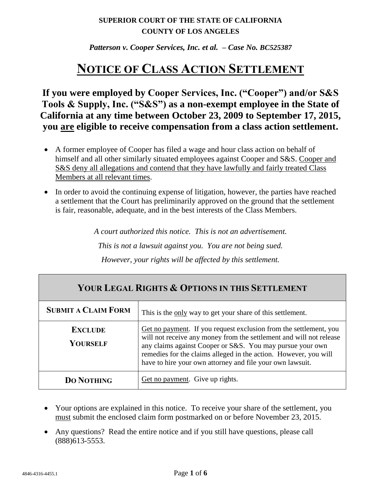## **SUPERIOR COURT OF THE STATE OF CALIFORNIA COUNTY OF LOS ANGELES**

*Patterson v. Cooper Services, Inc. et al. – Case No. BC525387*

## **NOTICE OF CLASS ACTION SETTLEMENT**

**If you were employed by Cooper Services, Inc. ("Cooper") and/or S&S Tools & Supply, Inc. ("S&S") as a non-exempt employee in the State of California at any time between October 23, 2009 to September 17, 2015, you are eligible to receive compensation from a class action settlement.**

- A former employee of Cooper has filed a wage and hour class action on behalf of himself and all other similarly situated employees against Cooper and S&S. Cooper and S&S deny all allegations and contend that they have lawfully and fairly treated Class Members at all relevant times.
- In order to avoid the continuing expense of litigation, however, the parties have reached a settlement that the Court has preliminarily approved on the ground that the settlement is fair, reasonable, adequate, and in the best interests of the Class Members.

*A court authorized this notice. This is not an advertisement. This is not a lawsuit against you. You are not being sued. However, your rights will be affected by this settlement.*

| YOUR LEGAL RIGHTS & OPTIONS IN THIS SETTLEMENT |                                                                                                                                                                                                                                                                                                                                        |  |
|------------------------------------------------|----------------------------------------------------------------------------------------------------------------------------------------------------------------------------------------------------------------------------------------------------------------------------------------------------------------------------------------|--|
| <b>SUBMIT A CLAIM FORM</b>                     | This is the only way to get your share of this settlement.                                                                                                                                                                                                                                                                             |  |
| <b>EXCLUDE</b><br><b>YOURSELF</b>              | Get no payment. If you request exclusion from the settlement, you<br>will not receive any money from the settlement and will not release<br>any claims against Cooper or S&S. You may pursue your own<br>remedies for the claims alleged in the action. However, you will<br>have to hire your own attorney and file your own lawsuit. |  |
| <b>DO NOTHING</b>                              | Get no payment. Give up rights.                                                                                                                                                                                                                                                                                                        |  |

- Your options are explained in this notice. To receive your share of the settlement, you must submit the enclosed claim form postmarked on or before November 23, 2015.
- Any questions? Read the entire notice and if you still have questions, please call (888)613-5553.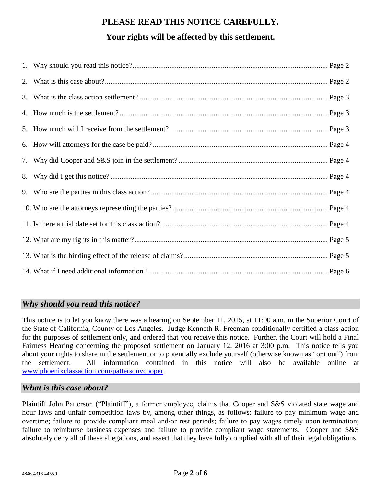# **PLEASE READ THIS NOTICE CAREFULLY.**

## **Your rights will be affected by this settlement.**

## *Why should you read this notice?*

This notice is to let you know there was a hearing on September 11, 2015, at 11:00 a.m. in the Superior Court of the State of California, County of Los Angeles. Judge Kenneth R. Freeman conditionally certified a class action for the purposes of settlement only, and ordered that you receive this notice. Further, the Court will hold a Final Fairness Hearing concerning the proposed settlement on January 12, 2016 at 3:00 p.m. This notice tells you about your rights to share in the settlement or to potentially exclude yourself (otherwise known as "opt out") from the settlement. All information contained in this notice will also be available online at [www.phoenixclassaction.com/pattersonvcooper.](http://www.phoenixclassaction.com/pattersonvcooper)

## *What is this case about?*

Plaintiff John Patterson ("Plaintiff"), a former employee, claims that Cooper and S&S violated state wage and hour laws and unfair competition laws by, among other things, as follows: failure to pay minimum wage and overtime; failure to provide compliant meal and/or rest periods; failure to pay wages timely upon termination; failure to reimburse business expenses and failure to provide compliant wage statements. Cooper and S&S absolutely deny all of these allegations, and assert that they have fully complied with all of their legal obligations.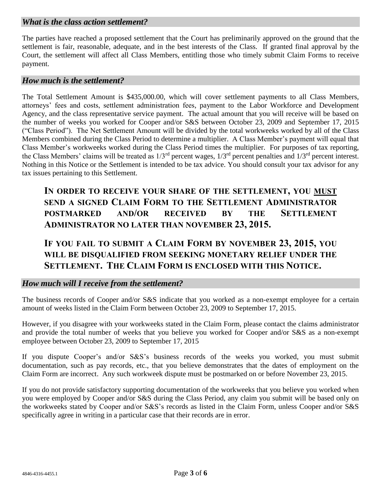## *What is the class action settlement?*

The parties have reached a proposed settlement that the Court has preliminarily approved on the ground that the settlement is fair, reasonable, adequate, and in the best interests of the Class. If granted final approval by the Court, the settlement will affect all Class Members, entitling those who timely submit Claim Forms to receive payment.

#### *How much is the settlement?*

The Total Settlement Amount is \$435,000.00, which will cover settlement payments to all Class Members, attorneys' fees and costs, settlement administration fees, payment to the Labor Workforce and Development Agency, and the class representative service payment. The actual amount that you will receive will be based on the number of weeks you worked for Cooper and/or S&S between October 23, 2009 and September 17, 2015 ("Class Period"). The Net Settlement Amount will be divided by the total workweeks worked by all of the Class Members combined during the Class Period to determine a multiplier. A Class Member's payment will equal that Class Member's workweeks worked during the Class Period times the multiplier. For purposes of tax reporting, the Class Members' claims will be treated as 1/3rd percent wages, 1/3rd percent penalties and 1/3rd percent interest. Nothing in this Notice or the Settlement is intended to be tax advice. You should consult your tax advisor for any tax issues pertaining to this Settlement.

**IN ORDER TO RECEIVE YOUR SHARE OF THE SETTLEMENT, YOU MUST SEND A SIGNED CLAIM FORM TO THE SETTLEMENT ADMINISTRATOR POSTMARKED AND/OR RECEIVED BY THE SETTLEMENT ADMINISTRATOR NO LATER THAN NOVEMBER 23, 2015.**

**IF YOU FAIL TO SUBMIT A CLAIM FORM BY NOVEMBER 23, 2015, YOU WILL BE DISQUALIFIED FROM SEEKING MONETARY RELIEF UNDER THE SETTLEMENT. THE CLAIM FORM IS ENCLOSED WITH THIS NOTICE.**

#### *How much will I receive from the settlement?*

The business records of Cooper and/or S&S indicate that you worked as a non-exempt employee for a certain amount of weeks listed in the Claim Form between October 23, 2009 to September 17, 2015.

However, if you disagree with your workweeks stated in the Claim Form, please contact the claims administrator and provide the total number of weeks that you believe you worked for Cooper and/or S&S as a non-exempt employee between October 23, 2009 to September 17, 2015

If you dispute Cooper's and/or S&S's business records of the weeks you worked, you must submit documentation, such as pay records, etc., that you believe demonstrates that the dates of employment on the Claim Form are incorrect. Any such workweek dispute must be postmarked on or before November 23, 2015.

If you do not provide satisfactory supporting documentation of the workweeks that you believe you worked when you were employed by Cooper and/or S&S during the Class Period, any claim you submit will be based only on the workweeks stated by Cooper and/or S&S's records as listed in the Claim Form, unless Cooper and/or S&S specifically agree in writing in a particular case that their records are in error.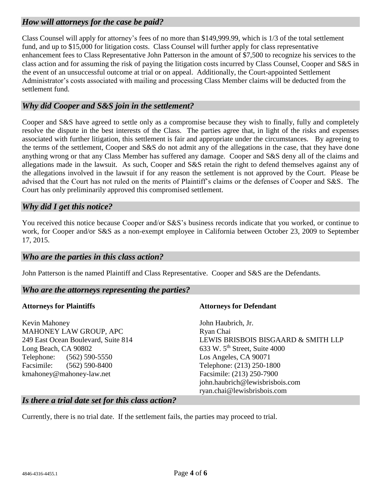## *How will attorneys for the case be paid?*

Class Counsel will apply for attorney's fees of no more than \$149,999.99, which is 1/3 of the total settlement fund, and up to \$15,000 for litigation costs. Class Counsel will further apply for class representative enhancement fees to Class Representative John Patterson in the amount of \$7,500 to recognize his services to the class action and for assuming the risk of paying the litigation costs incurred by Class Counsel, Cooper and S&S in the event of an unsuccessful outcome at trial or on appeal. Additionally, the Court-appointed Settlement Administrator's costs associated with mailing and processing Class Member claims will be deducted from the settlement fund.

### *Why did Cooper and S&S join in the settlement?*

Cooper and S&S have agreed to settle only as a compromise because they wish to finally, fully and completely resolve the dispute in the best interests of the Class. The parties agree that, in light of the risks and expenses associated with further litigation, this settlement is fair and appropriate under the circumstances. By agreeing to the terms of the settlement, Cooper and S&S do not admit any of the allegations in the case, that they have done anything wrong or that any Class Member has suffered any damage. Cooper and S&S deny all of the claims and allegations made in the lawsuit. As such, Cooper and S&S retain the right to defend themselves against any of the allegations involved in the lawsuit if for any reason the settlement is not approved by the Court. Please be advised that the Court has not ruled on the merits of Plaintiff's claims or the defenses of Cooper and S&S. The Court has only preliminarily approved this compromised settlement.

## *Why did I get this notice?*

You received this notice because Cooper and/or S&S's business records indicate that you worked, or continue to work, for Cooper and/or S&S as a non-exempt employee in California between October 23, 2009 to September 17, 2015.

#### *Who are the parties in this class action?*

John Patterson is the named Plaintiff and Class Representative. Cooper and S&S are the Defendants.

#### *Who are the attorneys representing the parties?*

#### **Attorneys for Plaintiffs**

Kevin Mahoney MAHONEY LAW GROUP, APC 249 East Ocean Boulevard, Suite 814 Long Beach, CA 90802 Telephone: (562) 590-5550 Facsimile: (562) 590-8400 kmahoney@mahoney-law.net

#### **Attorneys for Defendant**

John Haubrich, Jr. Ryan Chai LEWIS BRISBOIS BISGAARD & SMITH LLP 633 W.  $5<sup>th</sup>$  Street, Suite 4000 Los Angeles, CA 90071 Telephone: (213) 250-1800 Facsimile: (213) 250-7900 john.haubrich@lewisbrisbois.com ryan.chai@lewisbrisbois.com

#### *Is there a trial date set for this class action?*

Currently, there is no trial date. If the settlement fails, the parties may proceed to trial.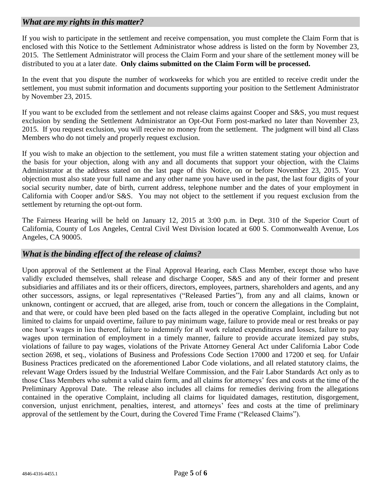## *What are my rights in this matter?*

If you wish to participate in the settlement and receive compensation, you must complete the Claim Form that is enclosed with this Notice to the Settlement Administrator whose address is listed on the form by November 23, 2015. The Settlement Administrator will process the Claim Form and your share of the settlement money will be distributed to you at a later date. **Only claims submitted on the Claim Form will be processed.** 

In the event that you dispute the number of workweeks for which you are entitled to receive credit under the settlement, you must submit information and documents supporting your position to the Settlement Administrator by November 23, 2015.

If you want to be excluded from the settlement and not release claims against Cooper and S&S, you must request exclusion by sending the Settlement Administrator an Opt-Out Form post-marked no later than November 23, 2015. If you request exclusion, you will receive no money from the settlement. The judgment will bind all Class Members who do not timely and properly request exclusion.

If you wish to make an objection to the settlement, you must file a written statement stating your objection and the basis for your objection, along with any and all documents that support your objection, with the Claims Administrator at the address stated on the last page of this Notice, on or before November 23, 2015. Your objection must also state your full name and any other name you have used in the past, the last four digits of your social security number, date of birth, current address, telephone number and the dates of your employment in California with Cooper and/or S&S. You may not object to the settlement if you request exclusion from the settlement by returning the opt-out form.

The Fairness Hearing will be held on January 12, 2015 at 3:00 p.m. in Dept. 310 of the Superior Court of California, County of Los Angeles, Central Civil West Division located at 600 S. Commonwealth Avenue, Los Angeles, CA 90005.

## *What is the binding effect of the release of claims?*

Upon approval of the Settlement at the Final Approval Hearing, each Class Member, except those who have validly excluded themselves, shall release and discharge Cooper, S&S and any of their former and present subsidiaries and affiliates and its or their officers, directors, employees, partners, shareholders and agents, and any other successors, assigns, or legal representatives ("Released Parties"), from any and all claims, known or unknown, contingent or accrued, that are alleged, arise from, touch or concern the allegations in the Complaint, and that were, or could have been pled based on the facts alleged in the operative Complaint, including but not limited to claims for unpaid overtime, failure to pay minimum wage, failure to provide meal or rest breaks or pay one hour's wages in lieu thereof, failure to indemnify for all work related expenditures and losses, failure to pay wages upon termination of employment in a timely manner, failure to provide accurate itemized pay stubs, violations of failure to pay wages, violations of the Private Attorney General Act under California Labor Code section 2698, et seq., violations of Business and Professions Code Section 17000 and 17200 et seq. for Unfair Business Practices predicated on the aforementioned Labor Code violations, and all related statutory claims, the relevant Wage Orders issued by the Industrial Welfare Commission, and the Fair Labor Standards Act only as to those Class Members who submit a valid claim form, and all claims for attorneys' fees and costs at the time of the Preliminary Approval Date. The release also includes all claims for remedies deriving from the allegations contained in the operative Complaint, including all claims for liquidated damages, restitution, disgorgement, conversion, unjust enrichment, penalties, interest, and attorneys' fees and costs at the time of preliminary approval of the settlement by the Court, during the Covered Time Frame ("Released Claims").